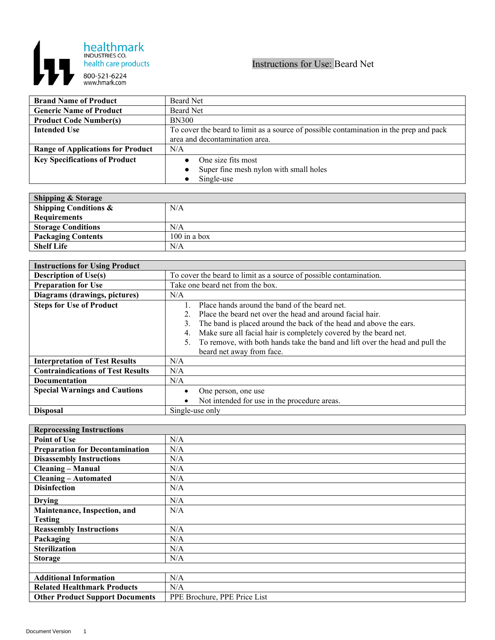

## Instructions for Use: Beard Net

| <b>Brand Name of Product</b>             | Beard Net                                                                              |
|------------------------------------------|----------------------------------------------------------------------------------------|
| <b>Generic Name of Product</b>           | Beard Net                                                                              |
| <b>Product Code Number(s)</b>            | <b>BN300</b>                                                                           |
| <b>Intended Use</b>                      | To cover the beard to limit as a source of possible contamination in the prep and pack |
|                                          | area and decontamination area.                                                         |
| <b>Range of Applications for Product</b> | N/A                                                                                    |
| <b>Key Specifications of Product</b>     | One size fits most                                                                     |
|                                          | Super fine mesh nylon with small holes                                                 |
|                                          | Single-use                                                                             |

| <b>Shipping &amp; Storage</b>    |                |
|----------------------------------|----------------|
| <b>Shipping Conditions &amp;</b> | N/A            |
| <b>Requirements</b>              |                |
| <b>Storage Conditions</b>        | N/A            |
| <b>Packaging Contents</b>        | $100$ in a box |
| <b>Shelf Life</b>                | N/A            |

| <b>Instructions for Using Product</b>    |                                                                              |
|------------------------------------------|------------------------------------------------------------------------------|
| <b>Description of Use(s)</b>             | To cover the beard to limit as a source of possible contamination.           |
| <b>Preparation for Use</b>               | Take one beard net from the box.                                             |
| Diagrams (drawings, pictures)            | N/A                                                                          |
| <b>Steps for Use of Product</b>          | Place hands around the band of the beard net.                                |
|                                          | Place the beard net over the head and around facial hair.                    |
|                                          | The band is placed around the back of the head and above the ears.<br>3.     |
|                                          | Make sure all facial hair is completely covered by the beard net.<br>4.      |
|                                          | To remove, with both hands take the band and lift over the head and pull the |
|                                          | beard net away from face.                                                    |
| <b>Interpretation of Test Results</b>    | N/A                                                                          |
| <b>Contraindications of Test Results</b> | N/A                                                                          |
| <b>Documentation</b>                     | N/A                                                                          |
| <b>Special Warnings and Cautions</b>     | One person, one use                                                          |
|                                          | Not intended for use in the procedure areas.                                 |
| <b>Disposal</b>                          | Single-use only                                                              |

| <b>Reprocessing Instructions</b>       |                              |
|----------------------------------------|------------------------------|
| <b>Point of Use</b>                    | N/A                          |
| <b>Preparation for Decontamination</b> | N/A                          |
| <b>Disassembly Instructions</b>        | N/A                          |
| <b>Cleaning – Manual</b>               | N/A                          |
| <b>Cleaning - Automated</b>            | N/A                          |
| <b>Disinfection</b>                    | N/A                          |
| <b>Drying</b>                          | N/A                          |
| Maintenance, Inspection, and           | N/A                          |
| <b>Testing</b>                         |                              |
| <b>Reassembly Instructions</b>         | N/A                          |
| Packaging                              | N/A                          |
| <b>Sterilization</b>                   | N/A                          |
| <b>Storage</b>                         | N/A                          |
|                                        |                              |
| <b>Additional Information</b>          | N/A                          |
| <b>Related Healthmark Products</b>     | N/A                          |
| <b>Other Product Support Documents</b> | PPE Brochure, PPE Price List |